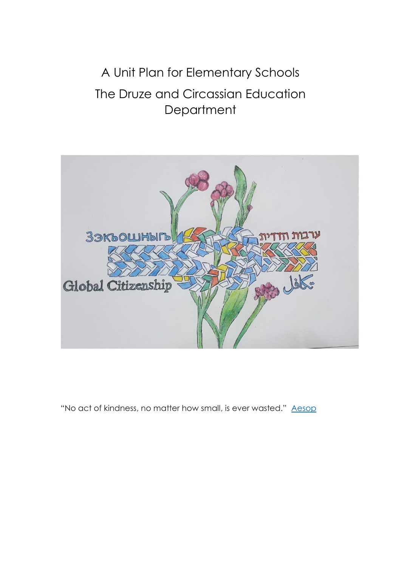# A Unit Plan for Elementary Schools The Druze and Circassian Education **Department**



"No act of kindness, no matter how small, is ever wasted." [Aesop](https://www.brainyquote.com/authors/aesop-quotes)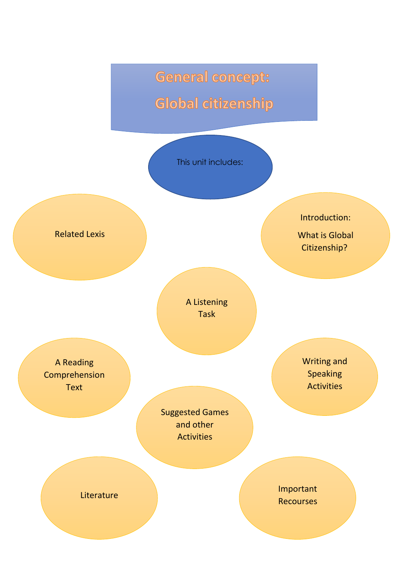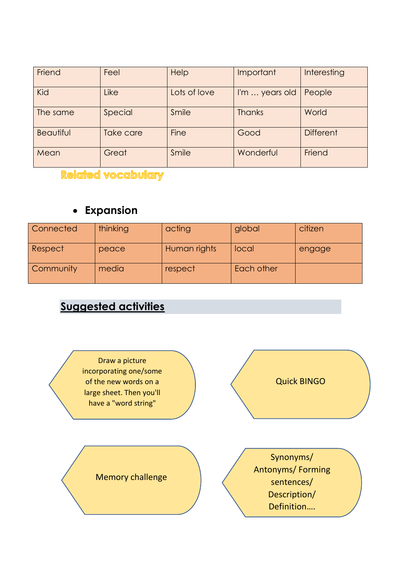| Friend           | Feel      | Help         | Important      | Interesting      |
|------------------|-----------|--------------|----------------|------------------|
| Kid              | Like      | Lots of love | I'm  years old | People           |
| The same         | Special   | Smile        | <b>Thanks</b>  | World            |
| <b>Beautiful</b> | Take care | <b>Fine</b>  | Good           | <b>Different</b> |
| Mean             | Great     | Smile        | Wonderful      | Friend           |

**Related vocabulary** 

### **Expansion**

| Connected | thinking | acting       | global     | citizen |
|-----------|----------|--------------|------------|---------|
| Respect   | peace    | Human rights | local      | engage  |
| Community | media    | respect      | Each other |         |

# **Suggested activities**

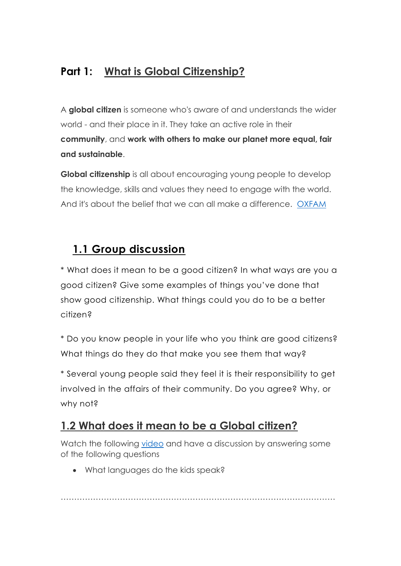### **Part 1: What is Global Citizenship?**

A **global citizen** is someone who's aware of and understands the wider world - and their place in it. They take an active role in their **community**, and **work with others to make our planet more equal, fair and sustainable**.

**Global citizenship** is all about encouraging young people to develop the knowledge, skills and values they need to engage with the world. And it's about the belief that we can all make a difference. [OXFAM](https://www.oxfam.org.uk/education/who-we-are/what-is-global-citizenship)

# **1.1 Group discussion**

\* What does it mean to be a good citizen? In what ways are you a good citizen? Give some examples of things you've done that show good citizenship. What things could you do to be a better citizen?

\* Do you know people in your life who you think are good citizens? What things do they do that make you see them that way?

\* Several young people said they feel it is their responsibility to get involved in the affairs of their community. Do you agree? Why, or why not?

# **1.2 What does it mean to be a Global citizen?**

Watch the following [video](https://www.youtube.com/watch?v=SpIgpdy9rjU) and have a discussion by answering some of the following questions

What languages do the kids speak?

…………………………………………………………………………………………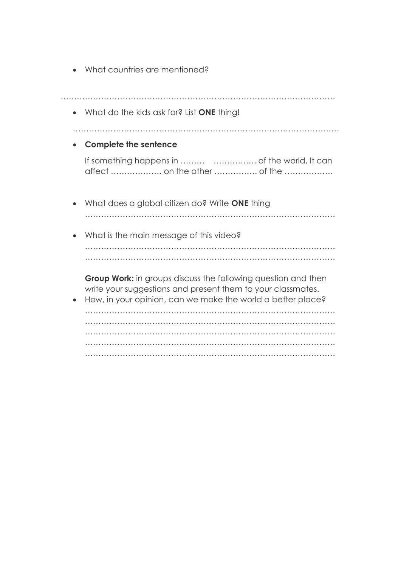What countries are mentioned?

| What do the kids ask for? List ONE thing!                                                                                                                                                          |
|----------------------------------------------------------------------------------------------------------------------------------------------------------------------------------------------------|
| <b>Complete the sentence</b>                                                                                                                                                                       |
| affect  on the other  of the                                                                                                                                                                       |
| What does a global citizen do? Write ONE thing                                                                                                                                                     |
| What is the main message of this video?                                                                                                                                                            |
| <b>Group Work:</b> in groups discuss the following question and then<br>write your suggestions and present them to your classmates.<br>How, in your opinion, can we make the world a better place? |
|                                                                                                                                                                                                    |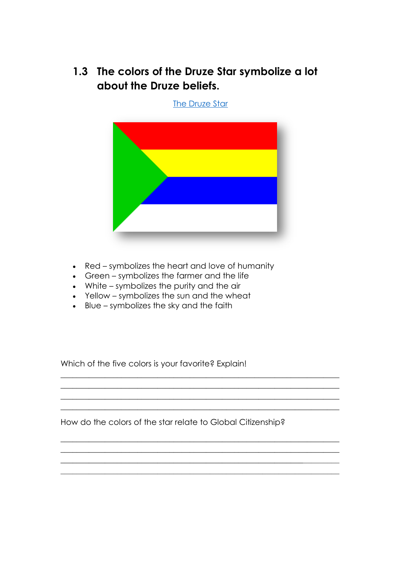**1.3 The colors of the Druze Star symbolize a lot about the Druze beliefs.**

[The Druze Star](https://www.crwflags.com/fotw/images/s/sy-druz.gif)



- Red symbolizes the heart and love of humanity
- Green symbolizes the farmer and the life
- White symbolizes the purity and the air
- Yellow symbolizes the sun and the wheat
- Blue symbolizes the sky and the faith

Which of the five colors is your favorite? Explain!

How do the colors of the star relate to Global Citizenship?

\_\_\_\_\_\_\_\_\_\_\_\_\_\_\_\_\_\_\_\_\_\_\_\_\_\_\_\_\_\_\_\_\_\_\_\_\_\_\_\_\_\_\_\_\_\_\_\_\_\_\_\_\_\_\_\_\_\_\_\_\_\_\_\_\_\_\_\_\_  $\_$  , and the set of the set of the set of the set of the set of the set of the set of the set of the set of the set of the set of the set of the set of the set of the set of the set of the set of the set of the set of th  $\_$  , and the set of the set of the set of the set of the set of the set of the set of the set of the set of the set of the set of the set of the set of the set of the set of the set of the set of the set of the set of th  $\_$  , and the set of the set of the set of the set of the set of the set of the set of the set of the set of the set of the set of the set of the set of the set of the set of the set of the set of the set of the set of th

 $\_$  , and the set of the set of the set of the set of the set of the set of the set of the set of the set of the set of the set of the set of the set of the set of the set of the set of the set of the set of the set of th  $\_$  , and the set of the set of the set of the set of the set of the set of the set of the set of the set of the set of the set of the set of the set of the set of the set of the set of the set of the set of the set of th  $\_$  , and the set of the set of the set of the set of the set of the set of the set of the set of the set of the set of the set of the set of the set of the set of the set of the set of the set of the set of the set of th  $\_$  , and the set of the set of the set of the set of the set of the set of the set of the set of the set of the set of the set of the set of the set of the set of the set of the set of the set of the set of the set of th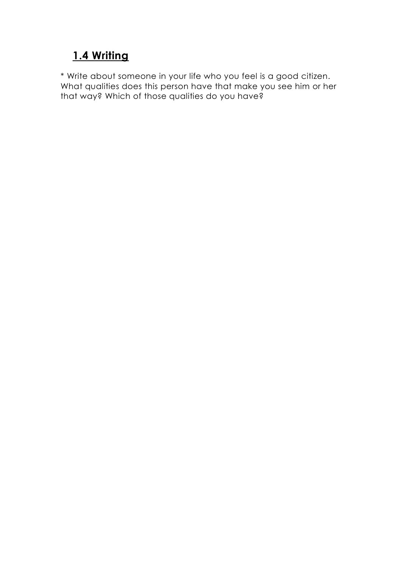# **1.4 Writing**

\* Write about someone in your life who you feel is a good citizen. What qualities does this person have that make you see him or her that way? Which of those qualities do you have?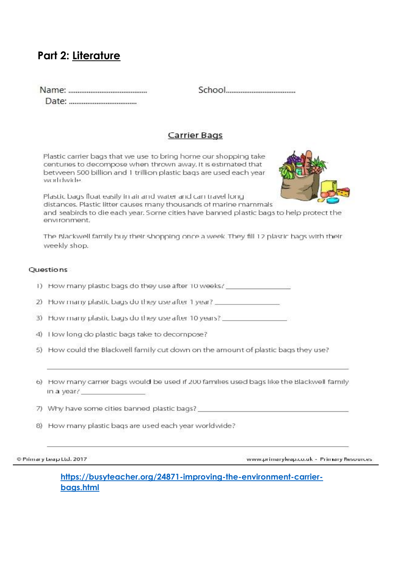### **Part 2: Literature**

#### **Carrier Bags**

Plastic carrier bags that we use to bring home our shopping take centuries to decompose when thrown away. It is estimated that between 500 billion and 1 trillion plastic bags are used each year worldwide.



Plastic bags float easily in air and water and can travel fong distances. Plastic litter causes many thousands of marine mammals

and seabirds to die each year. Some cities have banned plastic bags to help protect the environment.

The Blackwell family buy their shopping once a week. They fill 12 plastic bags with their weekly shop.

#### **Ouestions**

- 1) How many plastic bags do they use after 10 weeks? \_\_\_\_\_\_\_\_\_\_\_\_\_\_\_\_\_\_\_\_\_\_\_\_\_\_\_
- 2) How many plastic bags do they use after 1 year?
- 3) How many plastic bags do they use after 10 years? \_\_\_\_\_\_\_\_\_\_\_\_\_\_\_\_\_\_\_
- 4) I low long do plastic bags take to decompose?
- 5) How could the Blackwell family cut down on the amount of plastic bags they use?
- 6) How many carrier bags would be used if 200 families used bags like the Blackwell family in a year? The contract of the contract of
- 7) Why have some cities banned plastic bags?
- 8) How many plastic bags are used each year worldwide?

Primary Leap Ltd. 2017

www.primaryleap.co.uk - Primary Resources

**[https://busyteacher.org/24871-improving-the-environment-carrier](https://busyteacher.org/24871-improving-the-environment-carrier-bags.html)[bags.html](https://busyteacher.org/24871-improving-the-environment-carrier-bags.html)**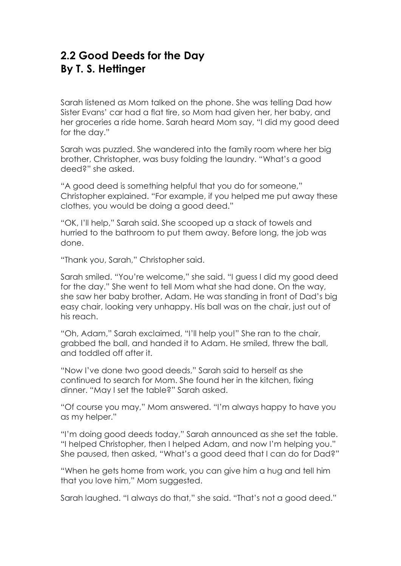### **2.2 Good Deeds for the Day By T. S. Hettinger**

Sarah listened as Mom talked on the phone. She was telling Dad how Sister Evans' car had a flat tire, so Mom had given her, her baby, and her groceries a ride home. Sarah heard Mom say, "I did my good deed for the day."

Sarah was puzzled. She wandered into the family room where her big brother, Christopher, was busy folding the laundry. "What's a good deed?" she asked.

"A good deed is something helpful that you do for someone," Christopher explained. "For example, if you helped me put away these clothes, you would be doing a good deed."

"OK, I'll help," Sarah said. She scooped up a stack of towels and hurried to the bathroom to put them away. Before long, the job was done.

"Thank you, Sarah," Christopher said.

Sarah smiled. "You're welcome," she said. "I guess I did my good deed for the day." She went to tell Mom what she had done. On the way, she saw her baby brother, Adam. He was standing in front of Dad's big easy chair, looking very unhappy. His ball was on the chair, just out of his reach.

"Oh, Adam," Sarah exclaimed, "I'll help you!" She ran to the chair, grabbed the ball, and handed it to Adam. He smiled, threw the ball, and toddled off after it.

"Now I've done two good deeds," Sarah said to herself as she continued to search for Mom. She found her in the kitchen, fixing dinner. "May I set the table?" Sarah asked.

"Of course you may," Mom answered. "I'm always happy to have you as my helper."

"I'm doing good deeds today," Sarah announced as she set the table. "I helped Christopher, then I helped Adam, and now I'm helping you." She paused, then asked, "What's a good deed that I can do for Dad?"

"When he gets home from work, you can give him a hug and tell him that you love him," Mom suggested.

Sarah laughed. "I always do that," she said. "That's not a good deed."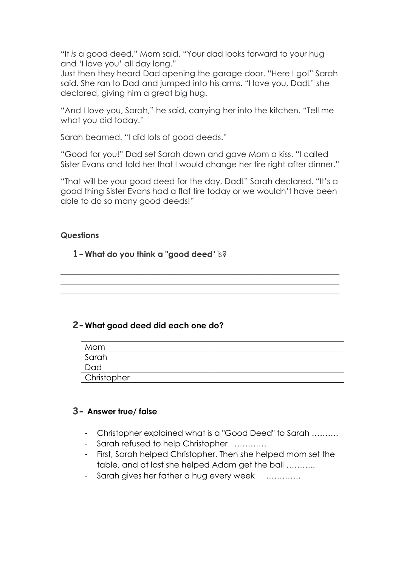"It *is* a good deed," Mom said. "Your dad looks forward to your hug and 'I love you' all day long."

Just then they heard Dad opening the garage door. "Here I go!" Sarah said. She ran to Dad and jumped into his arms. "I love you, Dad!" she declared, giving him a great big hug.

"And I love you, Sarah," he said, carrying her into the kitchen. "Tell me what you did today."

Sarah beamed. "I did lots of good deeds."

"Good for you!" Dad set Sarah down and gave Mom a kiss. "I called Sister Evans and told her that I would change her tire right after dinner."

"That will be your good deed for the day, Dad!" Sarah declared. "It's a good thing Sister Evans had a flat tire today or we wouldn't have been able to do so many good deeds!"

 $\_$  , and the set of the set of the set of the set of the set of the set of the set of the set of the set of the set of the set of the set of the set of the set of the set of the set of the set of the set of the set of th  $\_$  , and the set of the set of the set of the set of the set of the set of the set of the set of the set of the set of the set of the set of the set of the set of the set of the set of the set of the set of the set of th  $\_$  , and the set of the set of the set of the set of the set of the set of the set of the set of the set of the set of the set of the set of the set of the set of the set of the set of the set of the set of the set of th

#### **Questions**

#### **1-What do you think a "good deed**" is?

#### **2-What good deed did each one do?**

| Mom         |  |
|-------------|--|
| Sarah       |  |
| Dad         |  |
| Christopher |  |

#### **3- Answer true/ false**

- Christopher explained what is a "Good Deed" to Sarah ……….
- Sarah refused to help Christopher …………
- First, Sarah helped Christopher. Then she helped mom set the table, and at last she helped Adam get the ball ………..
- Sarah gives her father a hug every week ………….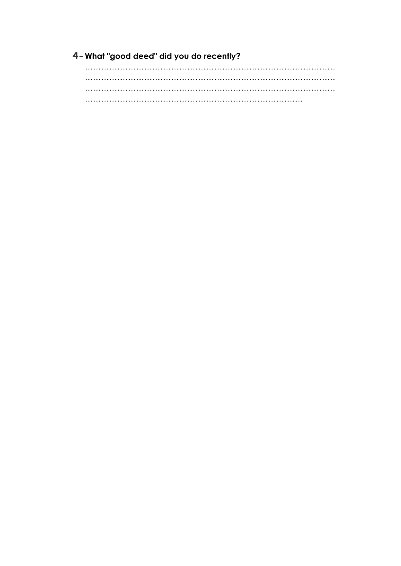4- What "good deed" did you do recently?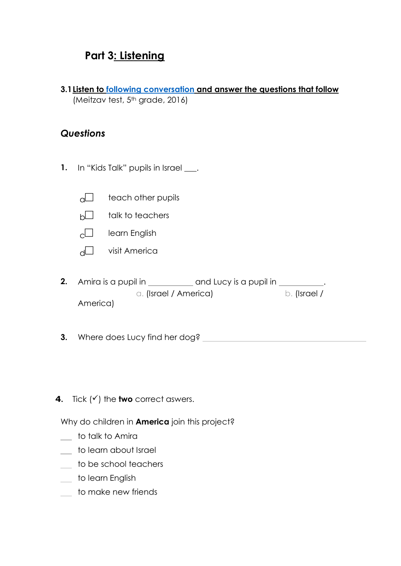### **Part 3: Listening**

**3.1Listen to [following conversation](http://meyda.education.gov.il/files/Rama/english_2016/class%205/5th%20grade%20task%202%20ARAB%20final.mp3) and answer the questions that follow**  (Meitzav test, 5<sup>th</sup> grade, 2016)

#### *Questions*

- 1. In "Kids Talk" pupils in Israel.
	- $\Box$  teach other pupils
	- $h \Box$  talk to teachers
	- $c \Box$  learn English
	- $d \Box$  visit America
- **2.** Amira is a pupil in \_\_\_\_\_\_\_\_\_\_\_\_ and Lucy is a pupil in \_\_\_\_\_\_\_\_\_\_. a. (Israel / America) b. (Israel / America)
- **3.** Where does Lucy find her dog?
- **4.** Tick  $(v')$  the **two** correct aswers.

Why do children in **America** join this project?

- to talk to Amira
- \_ to learn about Israel
- \_ to be school teachers
- \_ to learn English
- \_ to make new friends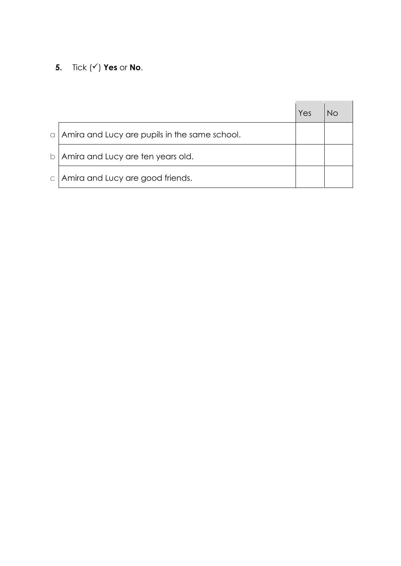**5.** Tick  $(\check{v})$  **Yes** or **No**.

|           |                                               | Yes |  |
|-----------|-----------------------------------------------|-----|--|
| $\alpha$  | Amira and Lucy are pupils in the same school. |     |  |
| b         | Amira and Lucy are ten years old.             |     |  |
| $\subset$ | Amira and Lucy are good friends.              |     |  |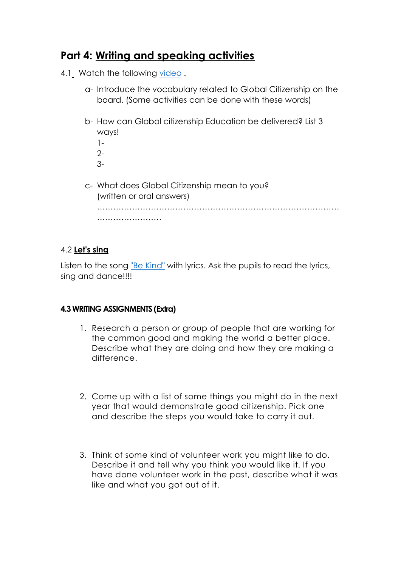### **Part 4: Writing and speaking activities**

- 4.1 Watch the following [video](https://www.youtube.com/watch?v=KuKzq9EDt-0).
	- a- Introduce the vocabulary related to Global Citizenship on the board. (Some activities can be done with these words)
	- b- How can Global citizenship Education be delivered? List 3 ways!
		- 1-  $2 -$
		- 3-
	- c- What does Global Citizenship mean to you? (written or oral answers) ……………………………………………………………………………… ……………………………

#### 4.2 **Let's sing**

Listen to the song ["Be Kind"](https://www.youtube.com/watch?v=1yLg1nPua0k) with lyrics. Ask the pupils to read the lyrics, sing and dance!!!!

#### **4.3 WRITING ASSIGNMENTS (Extra)**

- 1. Research a person or group of people that are working for the common good and making the world a better place. Describe what they are doing and how they are making a difference.
- 2. Come up with a list of some things you might do in the next year that would demonstrate good citizenship. Pick one and describe the steps you would take to carry it out.
- 3. Think of some kind of volunteer work you might like to do. Describe it and tell why you think you would like it. If you have done volunteer work in the past, describe what it was like and what you got out of it.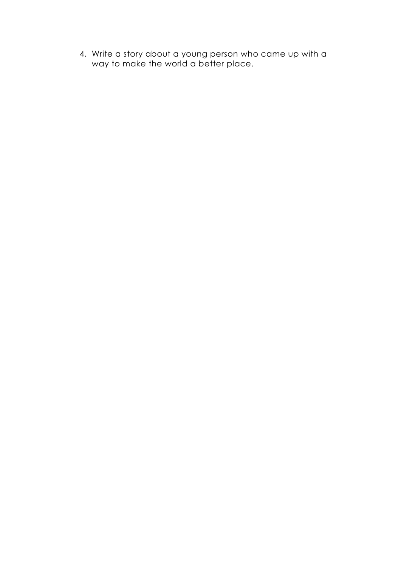4. Write a story about a young person who came up with a way to make the world a better place.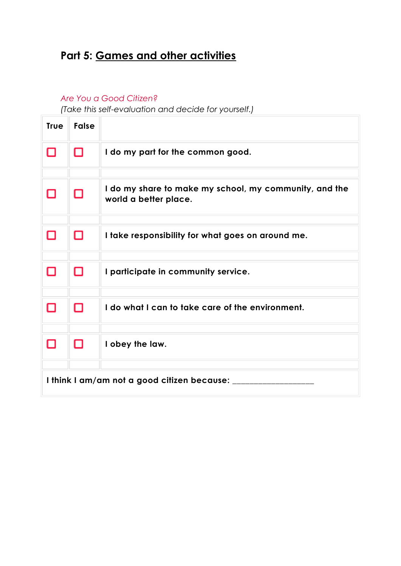# **Part 5: Games and other activities**

#### *Are You a Good Citizen?*

*(Take this self-evaluation and decide for yourself.)*

| <b>True</b>                                    | <b>False</b> |                                                                                 |
|------------------------------------------------|--------------|---------------------------------------------------------------------------------|
| О                                              | Ο            | I do my part for the common good.                                               |
|                                                |              |                                                                                 |
|                                                | □            | I do my share to make my school, my community, and the<br>world a better place. |
|                                                |              |                                                                                 |
| П                                              | О            | I take responsibility for what goes on around me.                               |
|                                                |              |                                                                                 |
| □                                              | □            | I participate in community service.                                             |
|                                                |              |                                                                                 |
| П                                              | О            | I do what I can to take care of the environment.                                |
|                                                |              |                                                                                 |
| П                                              | О            | I obey the law.                                                                 |
|                                                |              |                                                                                 |
| I think I am/am not a good citizen because: __ |              |                                                                                 |